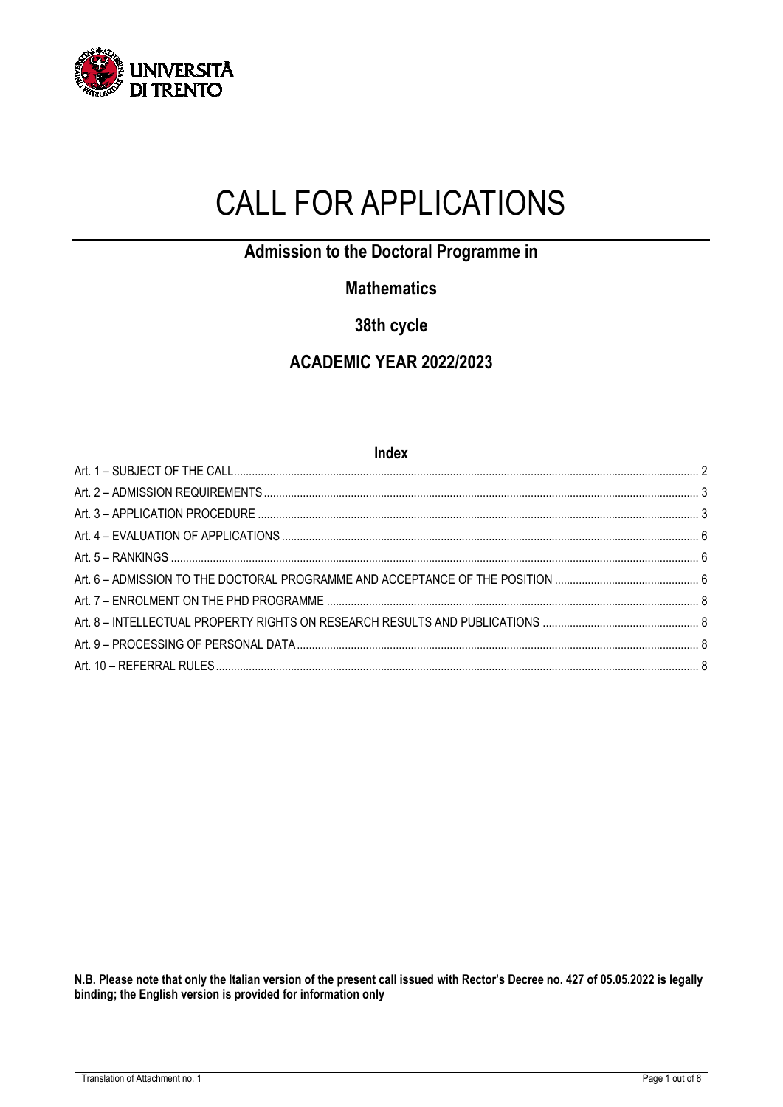

# CALL FOR APPLICATIONS

**Admission to the Doctoral Programme in** 

# **Mathematics**

**38th cycle**

# **ACADEMIC YEAR 2022/2023**

| Index |  |  |
|-------|--|--|
|       |  |  |
|       |  |  |
|       |  |  |
|       |  |  |
|       |  |  |
|       |  |  |
|       |  |  |
|       |  |  |
|       |  |  |
|       |  |  |

**N.B. Please note that only the Italian version of the present call issued with Rector's Decree no. 427 of 05.05.2022 is legally binding; the English version is provided for information only**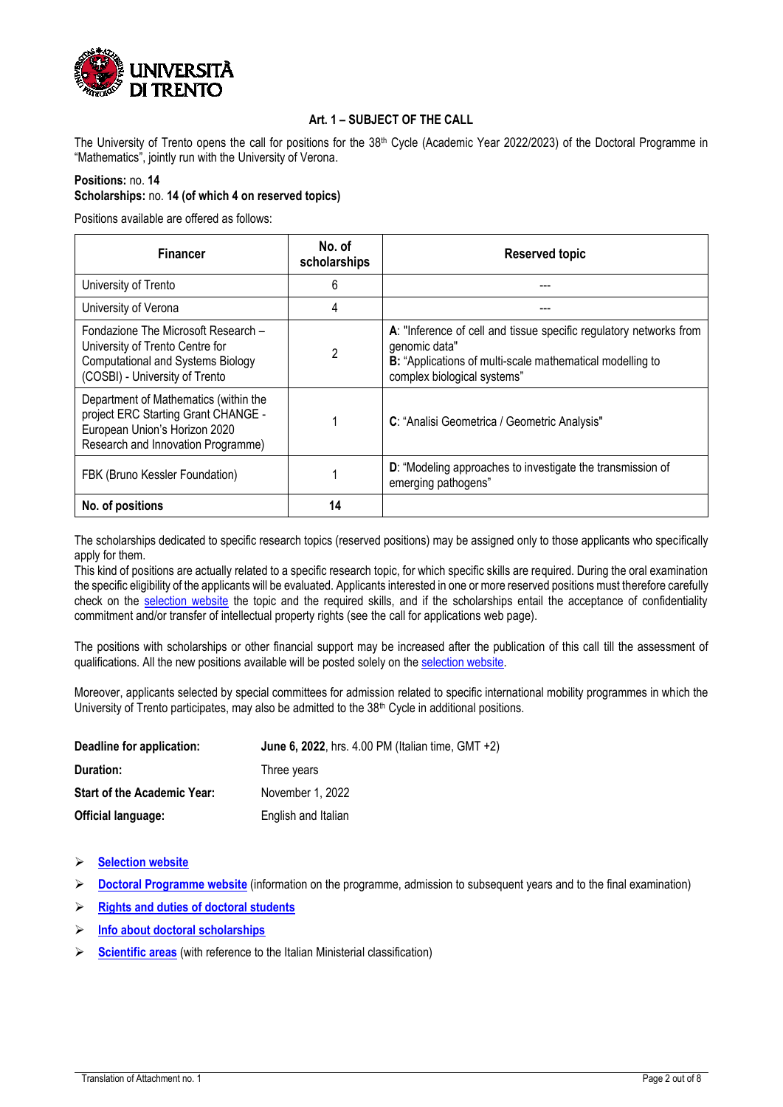

### **Art. 1 – SUBJECT OF THE CALL**

<span id="page-1-0"></span>The University of Trento opens the call for positions for the  $38<sup>th</sup>$  Cycle (Academic Year 2022/2023) of the Doctoral Programme in "Mathematics", jointly run with the University of Verona.

#### **Positions:** no. **14**

## **Scholarships:** no. **14 (of which 4 on reserved topics)**

Positions available are offered as follows:

| <b>Financer</b>                                                                                                                                      | No. of<br>scholarships | <b>Reserved topic</b>                                                                                                                                                           |
|------------------------------------------------------------------------------------------------------------------------------------------------------|------------------------|---------------------------------------------------------------------------------------------------------------------------------------------------------------------------------|
| University of Trento                                                                                                                                 | 6                      |                                                                                                                                                                                 |
| University of Verona                                                                                                                                 | 4                      |                                                                                                                                                                                 |
| Fondazione The Microsoft Research -<br>University of Trento Centre for<br><b>Computational and Systems Biology</b><br>(COSBI) - University of Trento | 2                      | A: "Inference of cell and tissue specific regulatory networks from<br>genomic data"<br>B: "Applications of multi-scale mathematical modelling to<br>complex biological systems" |
| Department of Mathematics (within the<br>project ERC Starting Grant CHANGE -<br>European Union's Horizon 2020<br>Research and Innovation Programme)  |                        | C: "Analisi Geometrica / Geometric Analysis"                                                                                                                                    |
| FBK (Bruno Kessler Foundation)                                                                                                                       |                        | D: "Modeling approaches to investigate the transmission of<br>emerging pathogens"                                                                                               |
| No. of positions                                                                                                                                     | 14                     |                                                                                                                                                                                 |

The scholarships dedicated to specific research topics (reserved positions) may be assigned only to those applicants who specifically apply for them.

This kind of positions are actually related to a specific research topic, for which specific skills are required. During the oral examination the specific eligibility of the applicants will be evaluated. Applicants interested in one or more reserved positions must therefore carefully check on the [selection website](https://www.unitn.it/en/ateneo/1956/announcement-of-selection) the topic and the required skills, and if the scholarships entail the acceptance of confidentiality commitment and/or transfer of intellectual property rights (see the call for applications web page).

The positions with scholarships or other financial support may be increased after the publication of this call till the assessment of qualifications. All the new positions available will be posted solely on th[e selection website.](https://www.unitn.it/en/ateneo/1956/announcement-of-selection)

Moreover, applicants selected by special committees for admission related to specific international mobility programmes in which the University of Trento participates, may also be admitted to the 38<sup>th</sup> Cycle in additional positions.

| Deadline for application:          | <b>June 6, 2022</b> , hrs. 4.00 PM (Italian time, GMT $+2$ ) |
|------------------------------------|--------------------------------------------------------------|
| Duration:                          | Three years                                                  |
| <b>Start of the Academic Year:</b> | November 1, 2022                                             |
| <b>Official language:</b>          | English and Italian                                          |

➢ **[Selection website](https://www.unitn.it/en/node/1956)**

➢ **[Doctoral Programme](https://www.unitn.it/drmath/) website** (information on the programme, admission to subsequent years and to the final examination)

- ➢ **[Rights and duties of doctoral students](https://www.unitn.it/en/node/52919)**
- ➢ **[Info about doctoral scholarships](https://www.unitn.it/en/node/362)**
- ➢ **[Scientific areas](https://www.unitn.it/en/node/1903)** (with reference to the Italian Ministerial classification)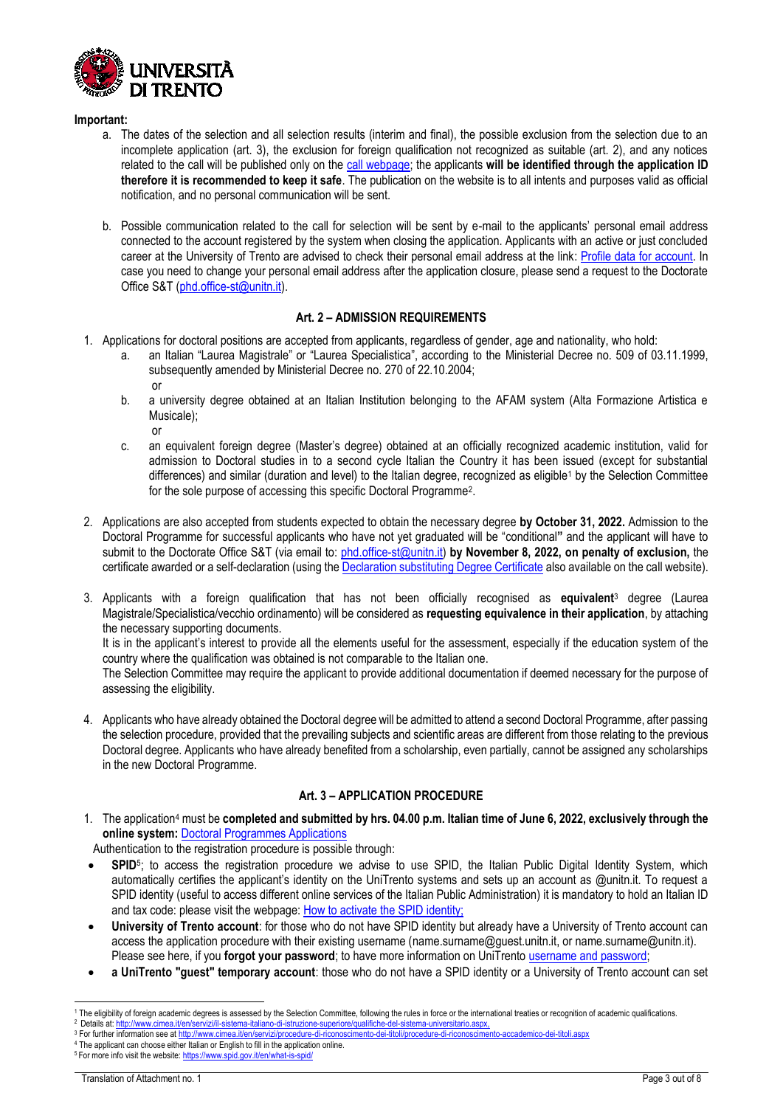

or

#### **Important:**

- a. The dates of the selection and all selection results (interim and final), the possible exclusion from the selection due to an incomplete application (art. 3), the exclusion for foreign qualification not recognized as suitable (art. 2), and any notices related to the call will be published only on th[e call webpage;](https://www.unitn.it/en/ateneo/1956/announcement-of-selection) the applicants **will be identified through the application ID therefore it is recommended to keep it safe**. The publication on the website is to all intents and purposes valid as official notification, and no personal communication will be sent.
- b. Possible communication related to the call for selection will be sent by e-mail to the applicants' personal email address connected to the account registered by the system when closing the application. Applicants with an active or just concluded career at the University of Trento are advised to check their personal email address at the link[: Profile data for account.](https://webapps.unitn.it/password1/en/accountdata/personalcontacts) In case you need to change your personal email address after the application closure, please send a request to the Doctorate Office S&T [\(phd.office-st@unitn.it\)](mailto:phd.office-st@unitn.it).

#### **Art. 2 – ADMISSION REQUIREMENTS**

- <span id="page-2-0"></span>1. Applications for doctoral positions are accepted from applicants, regardless of gender, age and nationality, who hold:
	- a. an Italian "Laurea Magistrale" or "Laurea Specialistica", according to the Ministerial Decree no. 509 of 03.11.1999, subsequently amended by Ministerial Decree no. 270 of 22.10.2004; or
	- b. a university degree obtained at an Italian Institution belonging to the AFAM system (Alta Formazione Artistica e Musicale);
	- c. an equivalent foreign degree (Master's degree) obtained at an officially recognized academic institution, valid for admission to Doctoral studies in to a second cycle Italian the Country it has been issued (except for substantial differences) and similar (duration and level) to the Italian degree, recognized as eligible<sup>1</sup> by the Selection Committee for the sole purpose of accessing this specific Doctoral Programme<sup>2</sup>.
- 2. Applications are also accepted from students expected to obtain the necessary degree **by October 31, 2022.** Admission to the Doctoral Programme for successful applicants who have not yet graduated will be "conditional**"** and the applicant will have to submit to the Doctorate Office S&T (via email to: [phd.office-st@unitn.it\)](mailto:phd.office-st@unitn.it) **by November 8, 2022, on penalty of exclusion,** the certificate awarded or a self-declaration (using th[e Declaration substituting Degree Certificate](https://www.unitn.it/alfresco/download/workspace/SpacesStore/a339b8d9-9971-4837-be70-9932ddf617e9;1.0/Declaration%20substituting_Maths_38) also available on the call website).
- 3. Applicants with a foreign qualification that has not been officially recognised as **equivalent**<sup>3</sup> degree (Laurea Magistrale/Specialistica/vecchio ordinamento) will be considered as **requesting equivalence in their application**, by attaching the necessary supporting documents.

It is in the applicant's interest to provide all the elements useful for the assessment, especially if the education system of the country where the qualification was obtained is not comparable to the Italian one.

The Selection Committee may require the applicant to provide additional documentation if deemed necessary for the purpose of assessing the eligibility.

4. Applicants who have already obtained the Doctoral degree will be admitted to attend a second Doctoral Programme, after passing the selection procedure, provided that the prevailing subjects and scientific areas are different from those relating to the previous Doctoral degree. Applicants who have already benefited from a scholarship, even partially, cannot be assigned any scholarships in the new Doctoral Programme.

### **Art. 3 – APPLICATION PROCEDURE**

<span id="page-2-1"></span>1. The application<sup>4</sup> must be **completed and submitted by hrs. 04.00 p.m. Italian time of June 6, 2022, exclusively through the online system:** [Doctoral Programmes Applications](https://webapps.unitn.it/Apply/en/Web/Home/dott)

Authentication to the registration procedure is possible through:

- **SPID**<sup>5</sup> ; to access the registration procedure we advise to use SPID, the Italian Public Digital Identity System, which automatically certifies the applicant's identity on the UniTrento systems and sets up an account as @unitn.it. To request a SPID identity (useful to access different online services of the Italian Public Administration) it is mandatory to hold an Italian ID and tax code: please visit the webpage: [How to activate the SPID](https://www.spid.gov.it/en/what-is-spid/how-to-activate-spid/) identity;
- **University of Trento account**: for those who do not have SPID identity but already have a University of Trento account can access the application procedure with their existing username [\(name.surname@guest.unitn.it,](mailto:name.surname@guest.unitn.it) o[r name.surname@unitn.it\)](mailto:name.surname@unitn.it). Please see here, if you [forgot your password](https://icts.unitn.it/en/password); to have more information on UniTrento [username and password;](https://icts.unitn.it/en/account-password)
- **a UniTrento "guest" temporary account**: those who do not have a SPID identity or a University of Trento account can set

<sup>-</sup><sup>1</sup> The eligibility of foreign academic degrees is assessed by the Selection Committee, following the rules in force or the international treaties or recognition of academic qualifications.

<sup>2</sup> Details at[: http://www.cimea.it/en/servizi/il-sistema-italiano-di-istruzione-superiore/qualifiche-del-sistema-universitario.aspx,](http://www.cimea.it/en/servizi/il-sistema-italiano-di-istruzione-superiore/qualifiche-del-sistema-universitario.aspx)

<sup>3</sup> For further information see a[t http://www.cimea.it/en/servizi/procedure-di-riconoscimento-dei-titoli/procedure-di-riconoscimento-accademico-dei-titoli.aspx](http://www.cimea.it/en/servizi/procedure-di-riconoscimento-dei-titoli/procedure-di-riconoscimento-accademico-dei-titoli.aspx)

<sup>4</sup> The applicant can choose either Italian or English to fill in the application online.

<sup>&</sup>lt;sup>5</sup> For more info visit the website[: https://www.spid.gov.it/en/what-is-spid/](https://www.spid.gov.it/en/what-is-spid/)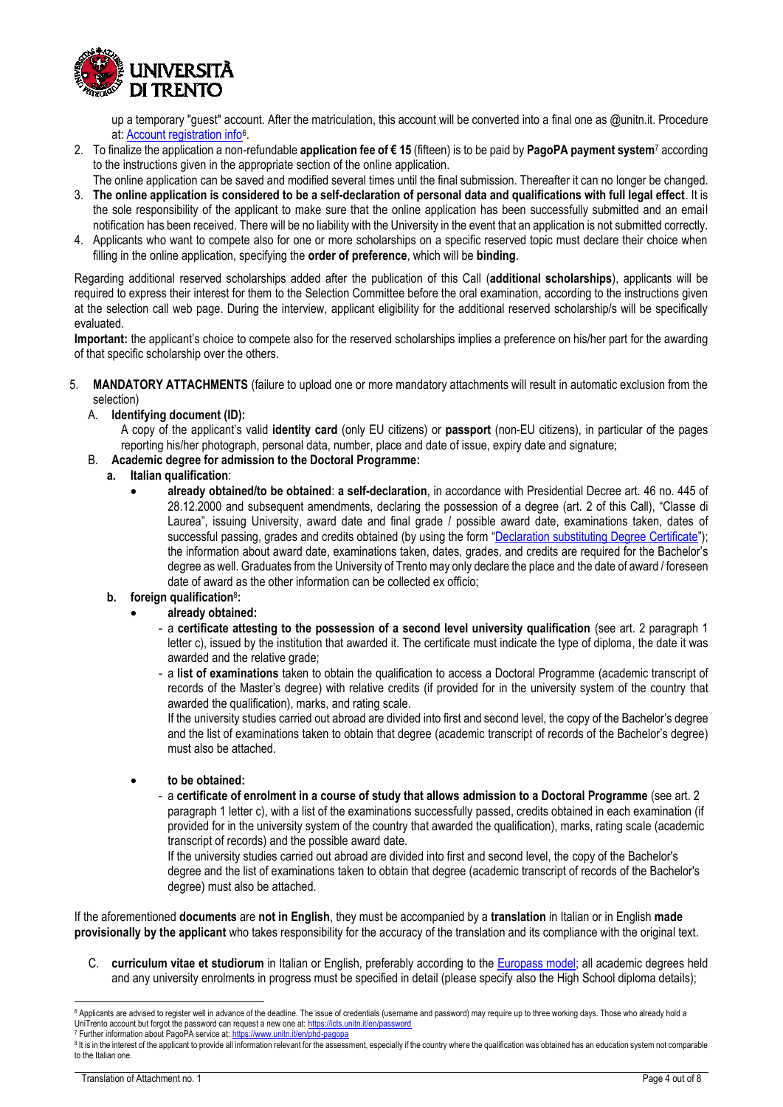

up a temporary "guest" account. After the matriculation, this account will be converted into a final one as @unitn.it. Procedure at: **Account registration info**<sup>6</sup>.

- 2. To finalize the application a non-refundable **application fee of € 15** (fifteen) is to be paid by **PagoPA payment system**<sup>7</sup> according to the instructions given in the appropriate section of the online application.
- The online application can be saved and modified several times until the final submission. Thereafter it can no longer be changed. 3. **The online application is considered to be a self-declaration of personal data and qualifications with full legal effect**. It is
- the sole responsibility of the applicant to make sure that the online application has been successfully submitted and an email notification has been received. There will be no liability with the University in the event that an application is not submitted correctly. 4. Applicants who want to compete also for one or more scholarships on a specific reserved topic must declare their choice when
- filling in the online application, specifying the **order of preference**, which will be **binding**.

Regarding additional reserved scholarships added after the publication of this Call (**additional scholarships**), applicants will be required to express their interest for them to the Selection Committee before the oral examination, according to the instructions given at the selection call web page. During the interview, applicant eligibility for the additional reserved scholarship/s will be specifically evaluated.

**Important:** the applicant's choice to compete also for the reserved scholarships implies a preference on his/her part for the awarding of that specific scholarship over the others.

- 5. **MANDATORY ATTACHMENTS** (failure to upload one or more mandatory attachments will result in automatic exclusion from the selection)
	- A. **Identifying document (ID):**
		- A copy of the applicant's valid **identity card** (only EU citizens) or **passport** (non-EU citizens), in particular of the pages reporting his/her photograph, personal data, number, place and date of issue, expiry date and signature;
	- B. **Academic degree for admission to the Doctoral Programme:**
		- **a. Italian qualification**:
			- **already obtained/to be obtained**: **a self-declaration**, in accordance with Presidential Decree art. 46 no. 445 of 28.12.2000 and subsequent amendments, declaring the possession of a degree (art. 2 of this Call), "Classe di Laurea", issuing University, award date and final grade / possible award date, examinations taken, dates of successful passing, grades and credits obtained (by using the form "[Declaration substituting Degree Certificate](https://www.unitn.it/alfresco/download/workspace/SpacesStore/a339b8d9-9971-4837-be70-9932ddf617e9;1.0/Declaration%20substituting_Maths_38)"); the information about award date, examinations taken, dates, grades, and credits are required for the Bachelor's degree as well. Graduates from the University of Trento may only declare the place and the date of award / foreseen date of award as the other information can be collected ex officio;
		- **b. foreign qualification**<sup>8</sup> **:**

### • **already obtained:**

- a **certificate attesting to the possession of a second level university qualification** (see art. 2 paragraph 1 letter c), issued by the institution that awarded it. The certificate must indicate the type of diploma, the date it was awarded and the relative grade;
- a **list of examinations** taken to obtain the qualification to access a Doctoral Programme (academic transcript of records of the Master's degree) with relative credits (if provided for in the university system of the country that awarded the qualification), marks, and rating scale.

If the university studies carried out abroad are divided into first and second level, the copy of the Bachelor's degree and the list of examinations taken to obtain that degree (academic transcript of records of the Bachelor's degree) must also be attached.

- **to be obtained:** 
	- ‐ a **certificate of enrolment in a course of study that allows admission to a Doctoral Programme** (see art. 2 paragraph 1 letter c), with a list of the examinations successfully passed, credits obtained in each examination (if provided for in the university system of the country that awarded the qualification), marks, rating scale (academic transcript of records) and the possible award date.

If the university studies carried out abroad are divided into first and second level, the copy of the Bachelor's degree and the list of examinations taken to obtain that degree (academic transcript of records of the Bachelor's degree) must also be attached.

If the aforementioned **documents** are **not in English**, they must be accompanied by a **translation** in Italian or in English **made provisionally by the applicant** who takes responsibility for the accuracy of the translation and its compliance with the original text.

C. **curriculum vitae et studiorum** in Italian or English, preferably according to the [Europass model;](https://europass.cedefop.europa.eu/documents/curriculum-vitae) all academic degrees held and any university enrolments in progress must be specified in detail (please specify also the High School diploma details);

<sup>-</sup>6 Applicants are advised to register well in advance of the deadline. The issue of credentials (username and password) may require up to three working days. Those who already hold a UniTrento account but forgot the password can request a new one at: <https://icts.unitn.it/en/password>

<sup>7</sup> Further information about PagoPA service at:<https://www.unitn.it/en/phd-pagopa>

<sup>&</sup>lt;sup>8</sup> It is in the interest of the applicant to provide all information relevant for the assessment, especially if the country where the qualification was obtained has an education system not comparable to the Italian one.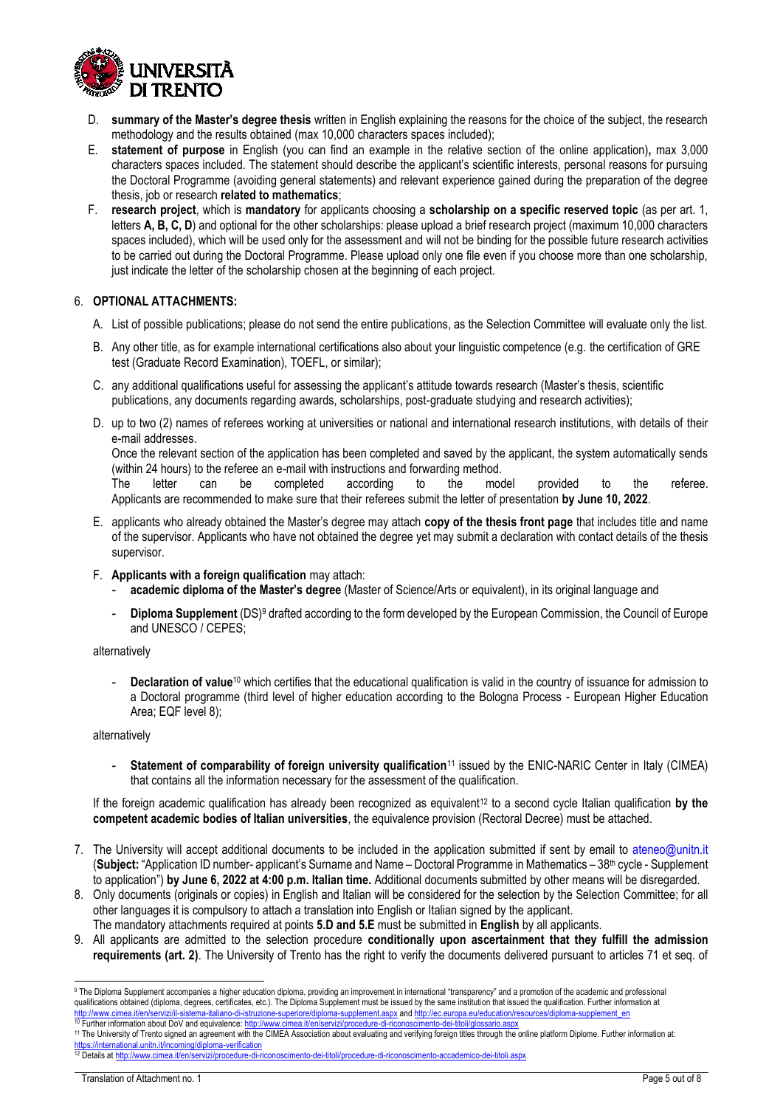

- D. **summary of the Master's degree thesis** written in English explaining the reasons for the choice of the subject, the research methodology and the results obtained (max 10,000 characters spaces included);
- E. **statement of purpose** in English (you can find an example in the relative section of the online application)**,** max 3,000 characters spaces included. The statement should describe the applicant's scientific interests, personal reasons for pursuing the Doctoral Programme (avoiding general statements) and relevant experience gained during the preparation of the degree thesis, job or research **related to mathematics**;
- F. **research project**, which is **mandatory** for applicants choosing a **scholarship on a specific reserved topic** (as per art. 1, letters **A, B, C, D**) and optional for the other scholarships: please upload a brief research project (maximum 10,000 characters spaces included), which will be used only for the assessment and will not be binding for the possible future research activities to be carried out during the Doctoral Programme. Please upload only one file even if you choose more than one scholarship, just indicate the letter of the scholarship chosen at the beginning of each project.

#### 6. **OPTIONAL ATTACHMENTS:**

- A. List of possible publications; please do not send the entire publications, as the Selection Committee will evaluate only the list.
- B. Any other title, as for example international certifications also about your linguistic competence (e.g. the certification of GRE test (Graduate Record Examination), TOEFL, or similar);
- C. any additional qualifications useful for assessing the applicant's attitude towards research (Master's thesis, scientific publications, any documents regarding awards, scholarships, post-graduate studying and research activities);
- D. up to two (2) names of referees working at universities or national and international research institutions, with details of their e-mail addresses. Once the relevant section of the application has been completed and saved by the applicant, the system automatically sends (within 24 hours) to the referee an e-mail with instructions and forwarding method.

The letter can be completed according to the model provided to the referee. Applicants are recommended to make sure that their referees submit the letter of presentation **by June 10, 2022**.

- E. applicants who already obtained the Master's degree may attach **copy of the thesis front page** that includes title and name of the supervisor. Applicants who have not obtained the degree yet may submit a declaration with contact details of the thesis supervisor.
- F. **Applicants with a foreign qualification** may attach:
	- **academic diploma of the Master's degree** (Master of Science/Arts or equivalent), in its original language and
	- **Diploma Supplement** (DS)<sup>9</sup> drafted according to the form developed by the European Commission, the Council of Europe and UNESCO / CEPES;

alternatively

- **Declaration of value**<sup>10</sup> which certifies that the educational qualification is valid in the country of issuance for admission to a Doctoral programme (third level of higher education according to the Bologna Process - European Higher Education Area; EQF level 8);

alternatively

- **Statement of comparability of foreign university qualification**<sup>11</sup> issued by the ENIC-NARIC Center in Italy (CIMEA) that contains all the information necessary for the assessment of the qualification.

If the foreign academic qualification has already been recognized as equivalent<sup>12</sup> to a second cycle Italian qualification by the **competent academic bodies of Italian universities**, the equivalence provision (Rectoral Decree) must be attached.

- 7. The University will accept additional documents to be included in the application submitted if sent by email to ateneo@unitn.it (**Subject:** "Application ID number- applicant's Surname and Name – Doctoral Programme in Mathematics – 38th cycle - Supplement to application") **by June 6, 2022 at 4:00 p.m. Italian time.** Additional documents submitted by other means will be disregarded.
- 8. Only documents (originals or copies) in English and Italian will be considered for the selection by the Selection Committee; for all other languages it is compulsory to attach a translation into English or Italian signed by the applicant.
- The mandatory attachments required at points **5.D and 5.E** must be submitted in **English** by all applicants.
- 9. All applicants are admitted to the selection procedure **conditionally upon ascertainment that they fulfill the admission requirements (art. 2)**. The University of Trento has the right to verify the documents delivered pursuant to articles 71 et seq. of

<https://international.unitn.it/incoming/diploma-verification><br><sup>12</sup> Details at http://www.cimea.it/en/servizi/procedure-di-r

-

<sup>9</sup> The Diploma Supplement accompanies a higher education diploma, providing an improvement in international "transparency" and a promotion of the academic and professional qualifications obtained (diploma, degrees, certificates, etc.). The Diploma Supplement must be issued by the same institution that issued the qualification. Further information at

<sup>&</sup>lt;u><http://www.cimea.it/en/servizi/il-sistema-italiano-di-istruzione-superiore/diploma-supplement.aspx> an[d http://ec.europa.eu/education/resources/diploma-supplement\\_en](http://ec.europa.eu/education/resources/diploma-supplement_en)<br><sup>10</sup> Further information about DoV and equivalence: <u>htt</u></u>

<sup>11</sup> The University of Trento signed an agreement with the CIMEA Association about evaluating and verifying foreign titles through the online platform Diplome. Further information at:

ervizi/procedure-di-riconoscimento-dei-titoli/procedure-di-riconoscimento-accademico-dei-titoli.aspx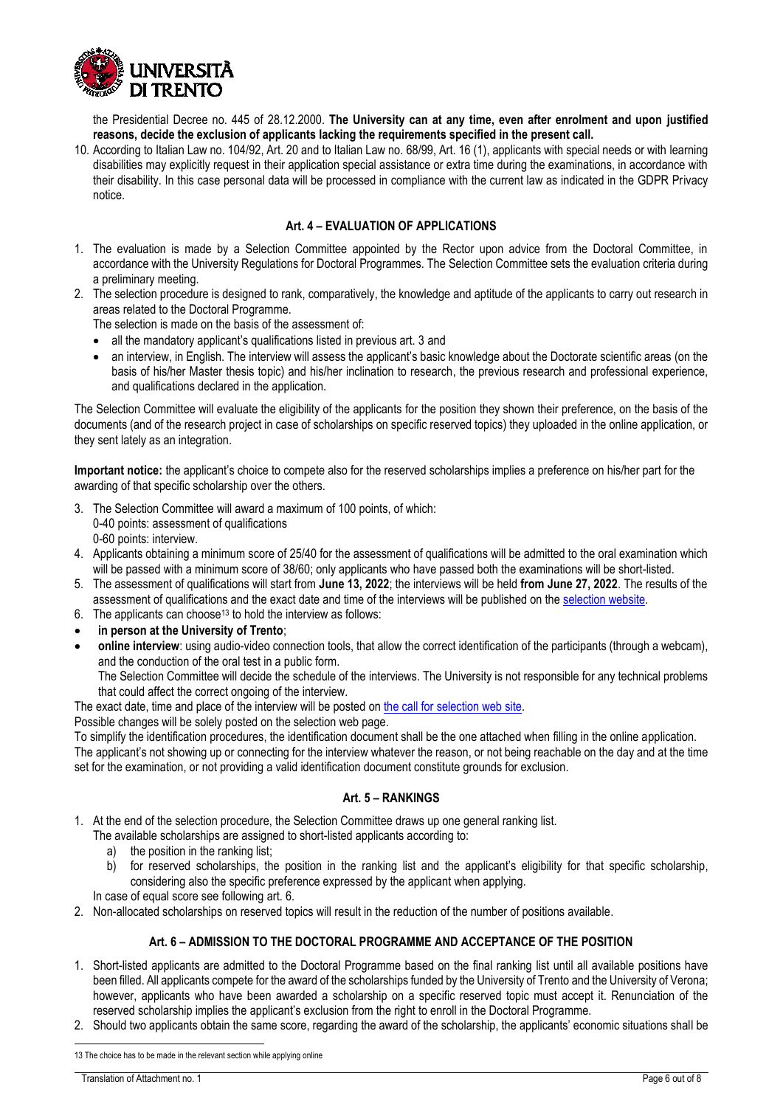

the Presidential Decree no. 445 of 28.12.2000. **The University can at any time, even after enrolment and upon justified reasons, decide the exclusion of applicants lacking the requirements specified in the present call.**

10. According to Italian Law no. 104/92, Art. 20 and to Italian Law no. 68/99, Art. 16 (1), applicants with special needs or with learning disabilities may explicitly request in their application special assistance or extra time during the examinations, in accordance with their disability. In this case personal data will be processed in compliance with the current law as indicated in the GDPR Privacy notice.

### **Art. 4 – EVALUATION OF APPLICATIONS**

- <span id="page-5-0"></span>1. The evaluation is made by a Selection Committee appointed by the Rector upon advice from the Doctoral Committee, in accordance with the University Regulations for Doctoral Programmes. The Selection Committee sets the evaluation criteria during a preliminary meeting.
- 2. The selection procedure is designed to rank, comparatively, the knowledge and aptitude of the applicants to carry out research in areas related to the Doctoral Programme.

The selection is made on the basis of the assessment of:

- all the mandatory applicant's qualifications listed in previous art. 3 and
- an interview, in English. The interview will assess the applicant's basic knowledge about the Doctorate scientific areas (on the basis of his/her Master thesis topic) and his/her inclination to research, the previous research and professional experience, and qualifications declared in the application.

The Selection Committee will evaluate the eligibility of the applicants for the position they shown their preference, on the basis of the documents (and of the research project in case of scholarships on specific reserved topics) they uploaded in the online application, or they sent lately as an integration.

**Important notice:** the applicant's choice to compete also for the reserved scholarships implies a preference on his/her part for the awarding of that specific scholarship over the others.

- 3. The Selection Committee will award a maximum of 100 points, of which: 0-40 points: assessment of qualifications 0-60 points: interview.
- 4. Applicants obtaining a minimum score of 25/40 for the assessment of qualifications will be admitted to the oral examination which will be passed with a minimum score of 38/60; only applicants who have passed both the examinations will be short-listed.
- 5. The assessment of qualifications will start from **June 13, 2022**; the interviews will be held **from June 27, 2022**. The results of the assessment of qualifications and the exact date and time of the interviews will be published on the [selection website.](https://www.unitn.it/en/ateneo/1956/announcement-of-selection)
- 6. The applicants can choose<sup>13</sup> to hold the interview as follows:
- **in person at the University of Trento**;
- **online interview**: using audio-video connection tools, that allow the correct identification of the participants (through a webcam), and the conduction of the oral test in a public form.

The Selection Committee will decide the schedule of the interviews. The University is not responsible for any technical problems that could affect the correct ongoing of the interview.

The exact date, time and place of the interview will be posted on [the call for selection web site.](https://www.unitn.it/en/ateneo/1956/announcement-of-selection)

Possible changes will be solely posted on the selection web page.

To simplify the identification procedures, the identification document shall be the one attached when filling in the online application. The applicant's not showing up or connecting for the interview whatever the reason, or not being reachable on the day and at the time set for the examination, or not providing a valid identification document constitute grounds for exclusion.

### **Art. 5 – RANKINGS**

<span id="page-5-1"></span>1. At the end of the selection procedure, the Selection Committee draws up one general ranking list.

The available scholarships are assigned to short-listed applicants according to:

- a) the position in the ranking list;
- b) for reserved scholarships, the position in the ranking list and the applicant's eligibility for that specific scholarship, considering also the specific preference expressed by the applicant when applying.

In case of equal score see following art. 6.

<span id="page-5-2"></span>2. Non-allocated scholarships on reserved topics will result in the reduction of the number of positions available.

### **Art. 6 – ADMISSION TO THE DOCTORAL PROGRAMME AND ACCEPTANCE OF THE POSITION**

- 1. Short-listed applicants are admitted to the Doctoral Programme based on the final ranking list until all available positions have been filled. All applicants compete for the award of the scholarships funded by the University of Trento and the University of Verona; however, applicants who have been awarded a scholarship on a specific reserved topic must accept it. Renunciation of the reserved scholarship implies the applicant's exclusion from the right to enroll in the Doctoral Programme.
- 2. Should two applicants obtain the same score, regarding the award of the scholarship, the applicants' economic situations shall be

 $\overline{a}$ 

<sup>13</sup> The choice has to be made in the relevant section while applying online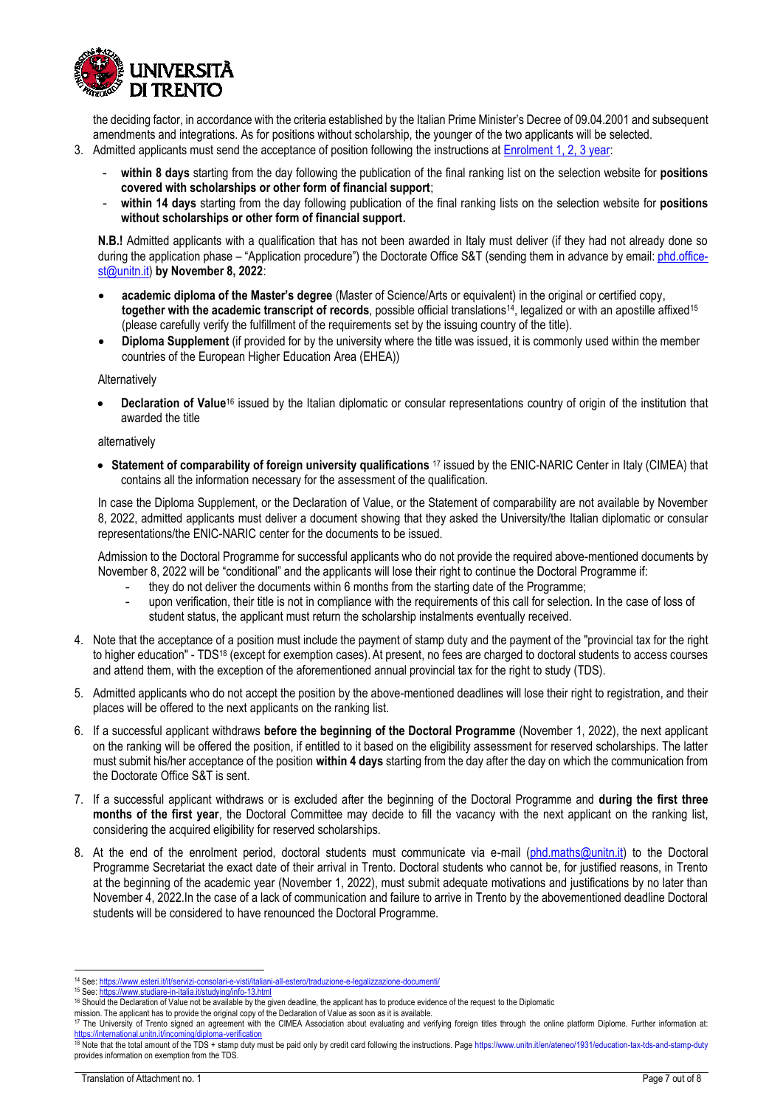

the deciding factor, in accordance with the criteria established by the Italian Prime Minister's Decree of 09.04.2001 and subsequent amendments and integrations. As for positions without scholarship, the younger of the two applicants will be selected.

- 3. Admitted applicants must send the acceptance of position following the instructions at [Enrolment 1, 2, 3 year:](https://www.unitn.it/en/node/1928)
	- **within 8 days** starting from the day following the publication of the final ranking list on the selection website for **positions covered with scholarships or other form of financial support**;
	- **within 14 days** starting from the day following publication of the final ranking lists on the selection website for **positions without scholarships or other form of financial support.**

**N.B.!** Admitted applicants with a qualification that has not been awarded in Italy must deliver (if they had not already done so during the application phase – "Application procedure") the Doctorate Office S&T (sending them in advance by email: [phd.office](mailto:phd.office-st@unitn.it)[st@unitn.it\)](mailto:phd.office-st@unitn.it) **by November 8, 2022**:

- **academic diploma of the Master's degree** (Master of Science/Arts or equivalent) in the original or certified copy, together with the academic transcript of records, possible official translations<sup>14</sup>, legalized or with an apostille affixed<sup>15</sup> (please carefully verify the fulfillment of the requirements set by the issuing country of the title).
- **Diploma Supplement** (if provided for by the university where the title was issued, it is commonly used within the member countries of the European Higher Education Area (EHEA))

Alternatively

• **Declaration of Value**<sup>16</sup> issued by the Italian diplomatic or consular representations country of origin of the institution that awarded the title

alternatively

• **Statement of comparability of foreign university qualifications** <sup>17</sup> issued by the ENIC-NARIC Center in Italy (CIMEA) that contains all the information necessary for the assessment of the qualification.

In case the Diploma Supplement, or the Declaration of Value, or the Statement of comparability are not available by November 8, 2022, admitted applicants must deliver a document showing that they asked the University/the Italian diplomatic or consular representations/the ENIC-NARIC center for the documents to be issued.

Admission to the Doctoral Programme for successful applicants who do not provide the required above-mentioned documents by November 8, 2022 will be "conditional" and the applicants will lose their right to continue the Doctoral Programme if:

- they do not deliver the documents within 6 months from the starting date of the Programme;
- upon verification, their title is not in compliance with the requirements of this call for selection. In the case of loss of student status, the applicant must return the scholarship instalments eventually received.
- 4. Note that the acceptance of a position must include the payment of stamp duty and the payment of the "provincial tax for the right to higher education" - TDS<sup>18</sup> (except for exemption cases). At present, no fees are charged to doctoral students to access courses and attend them, with the exception of the aforementioned annual provincial tax for the right to study (TDS).
- 5. Admitted applicants who do not accept the position by the above-mentioned deadlines will lose their right to registration, and their places will be offered to the next applicants on the ranking list.
- 6. If a successful applicant withdraws **before the beginning of the Doctoral Programme** (November 1, 2022), the next applicant on the ranking will be offered the position, if entitled to it based on the eligibility assessment for reserved scholarships. The latter must submit his/her acceptance of the position **within 4 days** starting from the day after the day on which the communication from the Doctorate Office S&T is sent.
- 7. If a successful applicant withdraws or is excluded after the beginning of the Doctoral Programme and **during the first three months of the first year**, the Doctoral Committee may decide to fill the vacancy with the next applicant on the ranking list, considering the acquired eligibility for reserved scholarships.
- 8. At the end of the enrolment period, doctoral students must communicate via e-mail [\(phd.maths@unitn.it\)](mailto:phd.maths@unitn.it) to the Doctoral Programme Secretariat the exact date of their arrival in Trento. Doctoral students who cannot be, for justified reasons, in Trento at the beginning of the academic year (November 1, 2022), must submit adequate motivations and justifications by no later than November 4, 2022.In the case of a lack of communication and failure to arrive in Trento by the abovementioned deadline Doctoral students will be considered to have renounced the Doctoral Programme.

<span id="page-6-0"></span>14 See: <https://www.esteri.it/it/servizi-consolari-e-visti/italiani-all-estero/traduzione-e-legalizzazione-documenti/>

<sup>15</sup> See[: https://www.studiare-in-italia.it/studying/info-13.html](https://www.studiare-in-italia.it/studying/info-13.html)

<sup>&</sup>lt;sup>16</sup> Should the Declaration of Value not be available by the given deadline, the applicant has to produce evidence of the request to the Diplomatic

mission. The applicant has to provide the original copy of the Declaration of Value as soon as it is available.

<sup>117</sup> The University of Trento signed an agreement with the CIMEA Association about evaluating and verifying foreign titles through the online platform Diplome. Further information at: <https://international.unitn.it/incoming/diploma-verification>s.

<sup>&</sup>lt;sup>18</sup> Note that the total amount of the TDS + stamp duty must be paid only by credit card following the instructions. Pag[e https://www.unitn.it/en/ateneo/1931/education-tax-tds-and-stamp-duty](https://www.unitn.it/en/ateneo/1931/education-tax-tds-and-stamp-duty) provides information on exemption from the TDS.